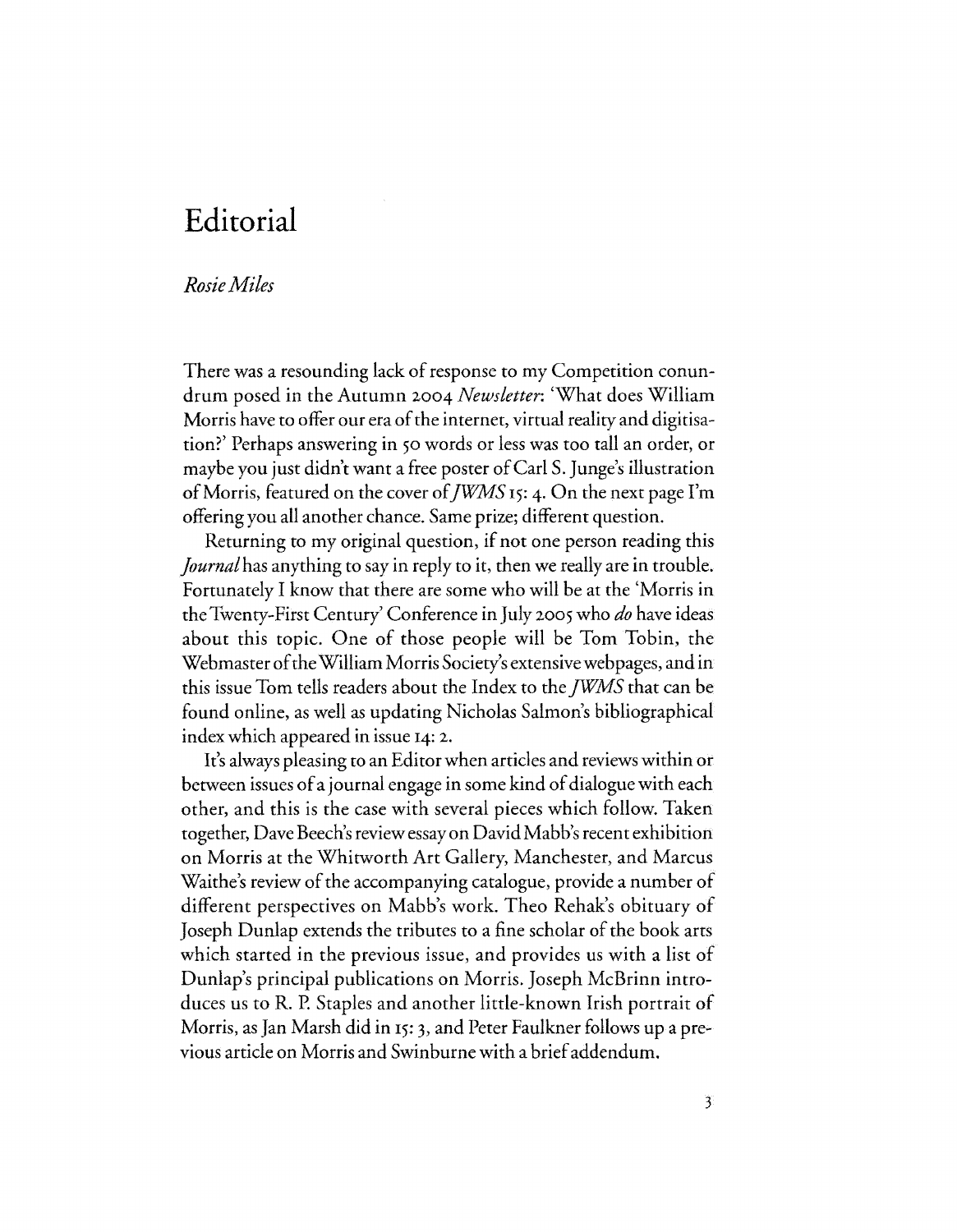## **Editorial**

## *RosieMiles*

There was a resounding lack of response to my Competition conundrum posed in the Autumn 2004 *Newsletter:* 'What does William Morris have to offer our era of the internet, virtual reality and digitisation?' Perhaps answering in 50 words or less was too tall an order, or maybe you just didn't want a free poster of Carl S. Junge's illustration of Morris, featured on the cover *ofJWMS* 15: 4. On the next page I'm offering you all another chance. Same prize; different question.

Returning to my original question, if not one person reading this *Journal* has anything to say in reply to it, then we really are in trouble. Fortunately I know that there are some who will be at the 'Morris in the Twenty-First Century' Conference in July 2005 who *do* have ideas about this topic. One of those people will be Tom Tobin, the Webmaster of the William Morris Society's extensivewebpages, and in this issue Tom tells readers about the Index to the *fWMS* that can be found online, as well as updating Nicholas Salmon's bibliographical index which appeared in issue 14: 2.

It's always pleasing to an Editor when articles and reviews within or between issues of a journal engage in some kind of dialogue with each other, and this is the case with several pieces which follow. Taken together, Dave Beech's review essay on David Mabb's recent exhibition on Morris at the Whitworth Art Gallery, Manchester, and Marcus Waithe's review of the accompanying catalogue, provide a number of different perspectives on Mabb's work. Theo Rehak's obituary of Joseph Dunlap extends the tributes to a fine scholar of the book arts which started in the previous issue, and provides us with a list of Dunlap's principal publications on Morris. Joseph McBrinn introduces us to R. P. Staples and another little-known Irish portrait of Morris, as Jan Marsh did in 15: 3, and Peter Faulkner follows up a previous article on Morris and Swinburne with a brief addendum.